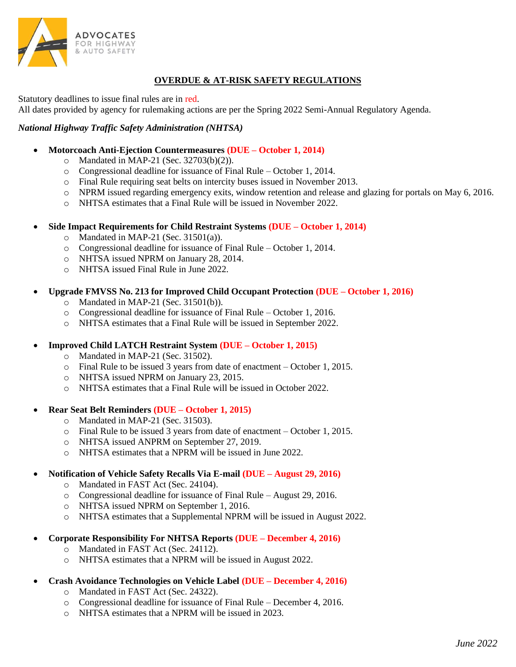

# **OVERDUE & AT-RISK SAFETY REGULATIONS**

Statutory deadlines to issue final rules are in red.

All dates provided by agency for rulemaking actions are per the Spring 2022 Semi-Annual Regulatory Agenda.

## *National Highway Traffic Safety Administration (NHTSA)*

- **Motorcoach Anti-Ejection Countermeasures (DUE – October 1, 2014)**
	- o Mandated in MAP-21 (Sec. 32703(b)(2)).
	- o Congressional deadline for issuance of Final Rule October 1, 2014.
	- o Final Rule requiring seat belts on intercity buses issued in November 2013.
	- o NPRM issued regarding emergency exits, window retention and release and glazing for portals on May 6, 2016.
	- o NHTSA estimates that a Final Rule will be issued in November 2022.
- **Side Impact Requirements for Child Restraint Systems (DUE – October 1, 2014)**
	- $\circ$  Mandated in MAP-21 (Sec. 31501(a)).
	- o Congressional deadline for issuance of Final Rule October 1, 2014.
	- o NHTSA issued NPRM on January 28, 2014.
	- o NHTSA issued Final Rule in June 2022.
- **Upgrade FMVSS No. 213 for Improved Child Occupant Protection (DUE – October 1, 2016)**
	- o Mandated in MAP-21 (Sec. 31501(b)).
	- o Congressional deadline for issuance of Final Rule October 1, 2016.
	- o NHTSA estimates that a Final Rule will be issued in September 2022.
- **Improved Child LATCH Restraint System (DUE – October 1, 2015)**
	- o Mandated in MAP-21 (Sec. 31502).
	- o Final Rule to be issued 3 years from date of enactment October 1, 2015.
	- o NHTSA issued NPRM on January 23, 2015.
	- o NHTSA estimates that a Final Rule will be issued in October 2022.

#### • **Rear Seat Belt Reminders (DUE – October 1, 2015)**

- o Mandated in MAP-21 (Sec. 31503).
- o Final Rule to be issued 3 years from date of enactment October 1, 2015.
- o NHTSA issued ANPRM on September 27, 2019.
- o NHTSA estimates that a NPRM will be issued in June 2022.
- **Notification of Vehicle Safety Recalls Via E-mail (DUE – August 29, 2016)**
	- o Mandated in FAST Act (Sec. 24104).
	- o Congressional deadline for issuance of Final Rule August 29, 2016.
	- o NHTSA issued NPRM on September 1, 2016.
	- o NHTSA estimates that a Supplemental NPRM will be issued in August 2022.
- **Corporate Responsibility For NHTSA Reports (DUE – December 4, 2016)**
	- o Mandated in FAST Act (Sec. 24112).
	- o NHTSA estimates that a NPRM will be issued in August 2022.
- **Crash Avoidance Technologies on Vehicle Label (DUE – December 4, 2016)**
	- o Mandated in FAST Act (Sec. 24322).
	- o Congressional deadline for issuance of Final Rule December 4, 2016.
	- o NHTSA estimates that a NPRM will be issued in 2023.